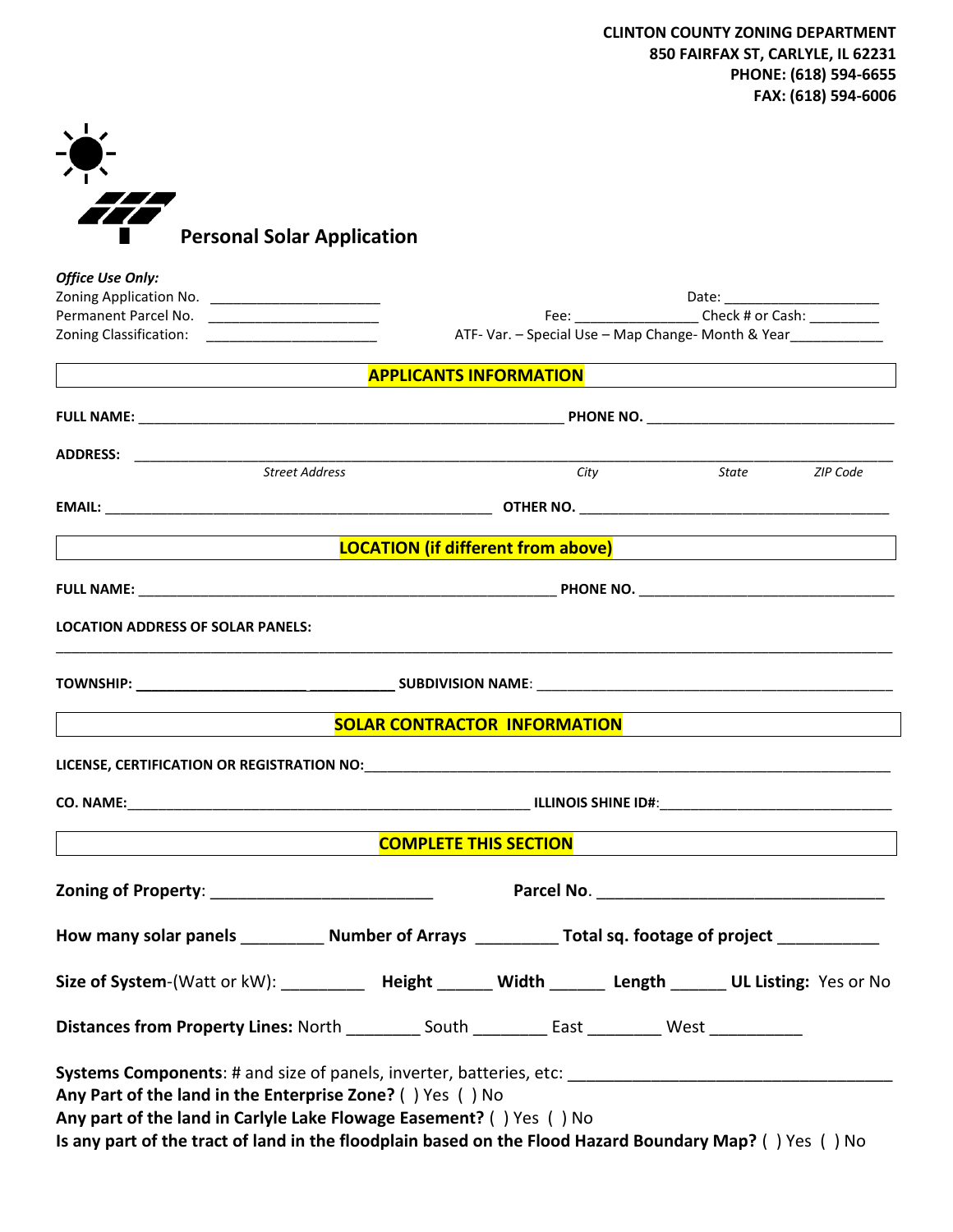| <b>Personal Solar Application</b> |
|-----------------------------------|

| <b>Office Use Only:</b>                                                                                                                                                                                                                     |                                                    |                                     |                                                             |                |  |
|---------------------------------------------------------------------------------------------------------------------------------------------------------------------------------------------------------------------------------------------|----------------------------------------------------|-------------------------------------|-------------------------------------------------------------|----------------|--|
|                                                                                                                                                                                                                                             |                                                    |                                     | Fee: ________________________ Check # or Cash: ____________ |                |  |
|                                                                                                                                                                                                                                             | ATF- Var. - Special Use - Map Change- Month & Year |                                     |                                                             |                |  |
|                                                                                                                                                                                                                                             |                                                    | <b>APPLICANTS INFORMATION</b>       |                                                             |                |  |
|                                                                                                                                                                                                                                             |                                                    |                                     |                                                             |                |  |
|                                                                                                                                                                                                                                             |                                                    |                                     |                                                             |                |  |
|                                                                                                                                                                                                                                             |                                                    | City                                |                                                             | State ZIP Code |  |
|                                                                                                                                                                                                                                             |                                                    |                                     |                                                             |                |  |
| <u> LOCATION (if different from above)</u> and the contract of the contract of the contract of the contract of the con                                                                                                                      |                                                    |                                     |                                                             |                |  |
|                                                                                                                                                                                                                                             |                                                    |                                     |                                                             |                |  |
| <b>LOCATION ADDRESS OF SOLAR PANELS:</b>                                                                                                                                                                                                    |                                                    |                                     |                                                             |                |  |
|                                                                                                                                                                                                                                             |                                                    |                                     |                                                             |                |  |
|                                                                                                                                                                                                                                             |                                                    | <b>SOLAR CONTRACTOR INFORMATION</b> |                                                             |                |  |
|                                                                                                                                                                                                                                             |                                                    |                                     |                                                             |                |  |
|                                                                                                                                                                                                                                             |                                                    |                                     |                                                             |                |  |
|                                                                                                                                                                                                                                             |                                                    | <b>COMPLETE THIS SECTION</b>        |                                                             |                |  |
| Zoning of Property: ___________________________                                                                                                                                                                                             |                                                    |                                     |                                                             |                |  |
| How many solar panels ____________ Number of Arrays ___________ Total sq. footage of project ____________                                                                                                                                   |                                                    |                                     |                                                             |                |  |
| Size of System-(Watt or kW): ___________ Height _______ Width _______ Length ______ UL Listing: Yes or No                                                                                                                                   |                                                    |                                     |                                                             |                |  |
| Distances from Property Lines: North _________ South _________ East ________ West ___________                                                                                                                                               |                                                    |                                     |                                                             |                |  |
| Any Part of the land in the Enterprise Zone? () Yes () No<br>Any part of the land in Carlyle Lake Flowage Easement? () Yes () No<br>Is any part of the tract of land in the floodplain based on the Flood Hazard Boundary Map? () Yes () No |                                                    |                                     |                                                             |                |  |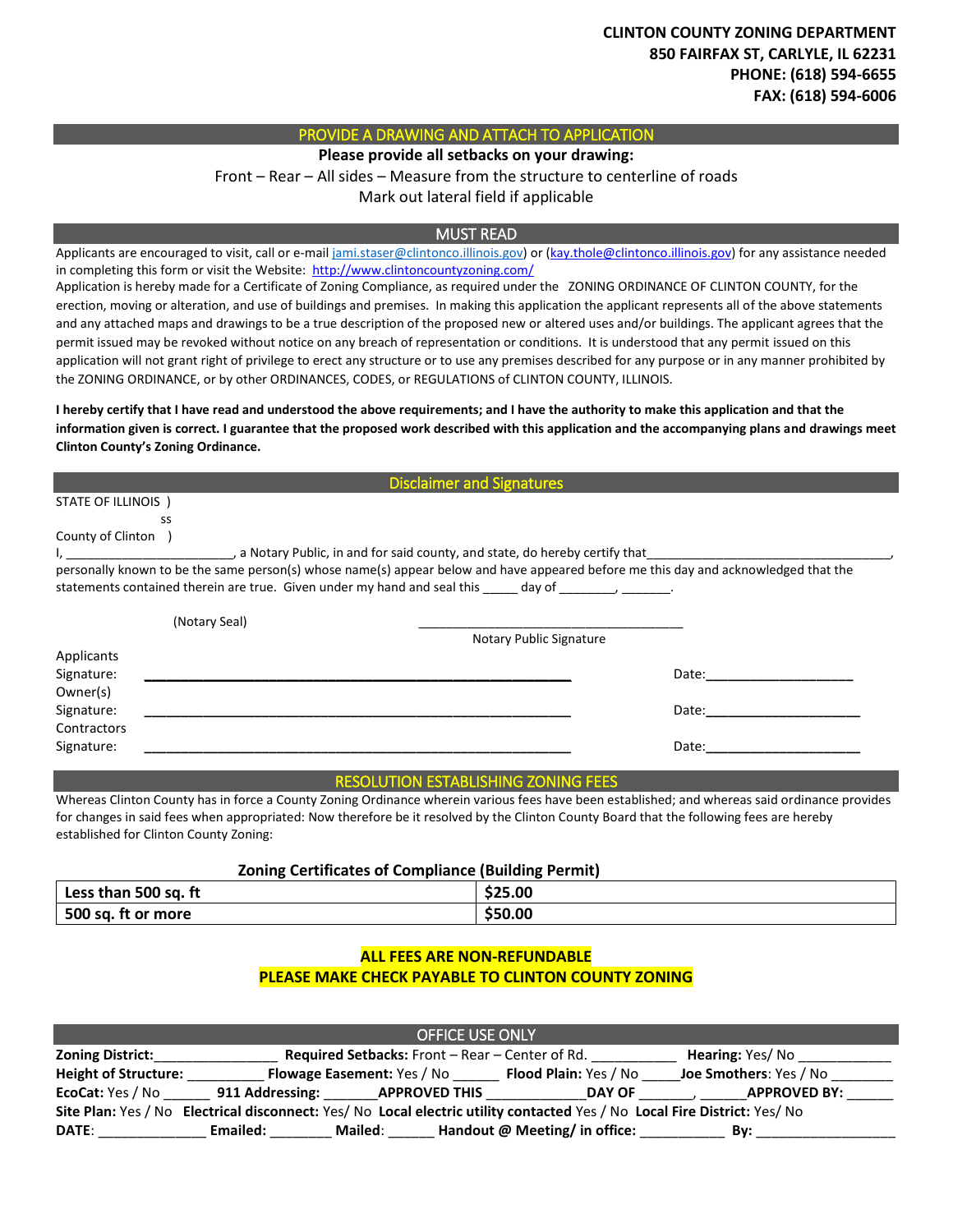# PROVIDE A DRAWING AND ATTACH TO APPLICATION

**Please provide all setbacks on your drawing:**

Front – Rear – All sides – Measure from the structure to centerline of roads

Mark out lateral field if applicable

## MUST READ

Applicants are encouraged to visit, call or e-mai[l jami.staser@clintonco.illinois.gov\)](mailto:jami.staser@clintonco.illinois.gov) or [\(kay.thole@clintonco.illinois.gov\)](mailto:kay.thole@clintonco.illinois.gov) for any assistance needed in completing this form or visit the Website: http://www.clintoncountyzoning.com/

Application is hereby made for a Certificate of Zoning Compliance, as required under the ZONING ORDINANCE OF CLINTON COUNTY, for the erection, moving or alteration, and use of buildings and premises. In making this application the applicant represents all of the above statements and any attached maps and drawings to be a true description of the proposed new or altered uses and/or buildings. The applicant agrees that the permit issued may be revoked without notice on any breach of representation or conditions. It is understood that any permit issued on this application will not grant right of privilege to erect any structure or to use any premises described for any purpose or in any manner prohibited by the ZONING ORDINANCE, or by other ORDINANCES, CODES, or REGULATIONS of CLINTON COUNTY, ILLINOIS.

**I hereby certify that I have read and understood the above requirements; and I have the authority to make this application and that the information given is correct. I guarantee that the proposed work described with this application and the accompanying plans and drawings meet Clinton County's Zoning Ordinance.**

| <b>Disclaimer and Signatures</b> |                                                                                                                                     |  |  |  |
|----------------------------------|-------------------------------------------------------------------------------------------------------------------------------------|--|--|--|
| STATE OF ILLINOIS )              |                                                                                                                                     |  |  |  |
| SS                               |                                                                                                                                     |  |  |  |
| County of Clinton                |                                                                                                                                     |  |  |  |
|                                  | I, the said county, and state, do hereby certify that                                                                               |  |  |  |
|                                  | personally known to be the same person(s) whose name(s) appear below and have appeared before me this day and acknowledged that the |  |  |  |
|                                  | statements contained therein are true. Given under my hand and seal this _____ day of ____________________.                         |  |  |  |
|                                  |                                                                                                                                     |  |  |  |
| (Notary Seal)                    |                                                                                                                                     |  |  |  |
|                                  | Notary Public Signature                                                                                                             |  |  |  |
| Applicants                       |                                                                                                                                     |  |  |  |
| Signature:                       | Date:                                                                                                                               |  |  |  |
| Owner(s)                         |                                                                                                                                     |  |  |  |
| Signature:                       | Date:                                                                                                                               |  |  |  |
| Contractors                      |                                                                                                                                     |  |  |  |
| Signature:                       | Date:                                                                                                                               |  |  |  |

#### RESOLUTION ESTABLISHING ZONING FEES

Whereas Clinton County has in force a County Zoning Ordinance wherein various fees have been established; and whereas said ordinance provides for changes in said fees when appropriated: Now therefore be it resolved by the Clinton County Board that the following fees are hereby established for Clinton County Zoning:

### **Zoning Certificates of Compliance (Building Permit)**

| Less than 500 sq. ft | \$25.00 |
|----------------------|---------|
| 500 sq. ft or more   | \$50.00 |

# **ALL FEES ARE NON-REFUNDABLE PLEASE MAKE CHECK PAYABLE TO CLINTON COUNTY ZONING**

| <b>OFFICE USE ONLY</b>                                                                                                    |                 |                                                                   |                               |                        |  |  |  |
|---------------------------------------------------------------------------------------------------------------------------|-----------------|-------------------------------------------------------------------|-------------------------------|------------------------|--|--|--|
| <b>Zoning District:</b>                                                                                                   |                 | <b>Required Setbacks:</b> Front – Rear – Center of Rd.            |                               |                        |  |  |  |
| <b>Height of Structure:</b>                                                                                               |                 | <b>Flood Plain: Yes / No</b><br><b>Flowage Easement:</b> Yes / No |                               | Joe Smothers: Yes / No |  |  |  |
| EcoCat: Yes / No                                                                                                          | 911 Addressing: | <b>APPROVED THIS</b>                                              | <b>DAY OF</b>                 | <b>APPROVED BY:</b>    |  |  |  |
| Site Plan: Yes / No Electrical disconnect: Yes/ No Local electric utility contacted Yes / No Local Fire District: Yes/ No |                 |                                                                   |                               |                        |  |  |  |
| <b>DATE:</b>                                                                                                              | Emailed:        | <b>Mailed:</b>                                                    | Handout @ Meeting/ in office: | Bv:                    |  |  |  |